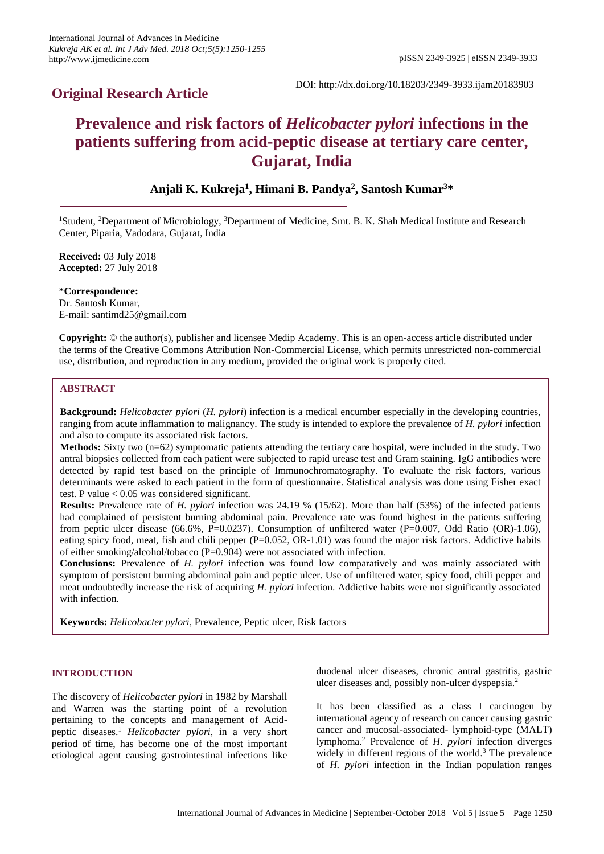# **Original Research Article**

DOI: http://dx.doi.org/10.18203/2349-3933.ijam20183903

# **Prevalence and risk factors of** *Helicobacter pylori* **infections in the patients suffering from acid-peptic disease at tertiary care center, Gujarat, India**

# **Anjali K. Kukreja<sup>1</sup> , Himani B. Pandya<sup>2</sup> , Santosh Kumar<sup>3</sup>\***

<sup>1</sup>Student, <sup>2</sup>Department of Microbiology, <sup>3</sup>Department of Medicine, Smt. B. K. Shah Medical Institute and Research Center, Piparia, Vadodara, Gujarat, India

**Received:** 03 July 2018 **Accepted:** 27 July 2018

**\*Correspondence:** Dr. Santosh Kumar, E-mail: santimd25@gmail.com

**Copyright:** © the author(s), publisher and licensee Medip Academy. This is an open-access article distributed under the terms of the Creative Commons Attribution Non-Commercial License, which permits unrestricted non-commercial use, distribution, and reproduction in any medium, provided the original work is properly cited.

# **ABSTRACT**

**Background:** *Helicobacter pylori* (*H. pylori*) infection is a medical encumber especially in the developing countries, ranging from acute inflammation to malignancy. The study is intended to explore the prevalence of *H. pylori* infection and also to compute its associated risk factors.

**Methods:** Sixty two (n=62) symptomatic patients attending the tertiary care hospital, were included in the study. Two antral biopsies collected from each patient were subjected to rapid urease test and Gram staining. IgG antibodies were detected by rapid test based on the principle of Immunochromatography. To evaluate the risk factors, various determinants were asked to each patient in the form of questionnaire. Statistical analysis was done using Fisher exact test. P value < 0.05 was considered significant.

**Results:** Prevalence rate of *H. pylori* infection was 24.19 % (15/62). More than half (53%) of the infected patients had complained of persistent burning abdominal pain. Prevalence rate was found highest in the patients suffering from peptic ulcer disease (66.6%, P=0.0237). Consumption of unfiltered water (P=0.007, Odd Ratio (OR)-1.06), eating spicy food, meat, fish and chili pepper  $(P=0.052, OR-1.01)$  was found the major risk factors. Addictive habits of either smoking/alcohol/tobacco (P=0.904) were not associated with infection.

**Conclusions:** Prevalence of *H. pylori* infection was found low comparatively and was mainly associated with symptom of persistent burning abdominal pain and peptic ulcer. Use of unfiltered water, spicy food, chili pepper and meat undoubtedly increase the risk of acquiring *H. pylori* infection. Addictive habits were not significantly associated with infection.

**Keywords:** *Helicobacter pylori*, Prevalence, Peptic ulcer, Risk factors

# **INTRODUCTION**

The discovery of *Helicobacter pylori* in 1982 by Marshall and Warren was the starting point of a revolution pertaining to the concepts and management of Acidpeptic diseases.<sup>1</sup> *Helicobacter pylori*, in a very short period of time, has become one of the most important etiological agent causing gastrointestinal infections like duodenal ulcer diseases, chronic antral gastritis, gastric ulcer diseases and, possibly non-ulcer dyspepsia. 2

It has been classified as a class I carcinogen by international agency of research on cancer causing gastric cancer and mucosal-associated- lymphoid-type (MALT) lymphoma.<sup>2</sup> Prevalence of *H. pylori* infection diverges widely in different regions of the world.<sup>3</sup> The prevalence of *H. pylori* infection in the Indian population ranges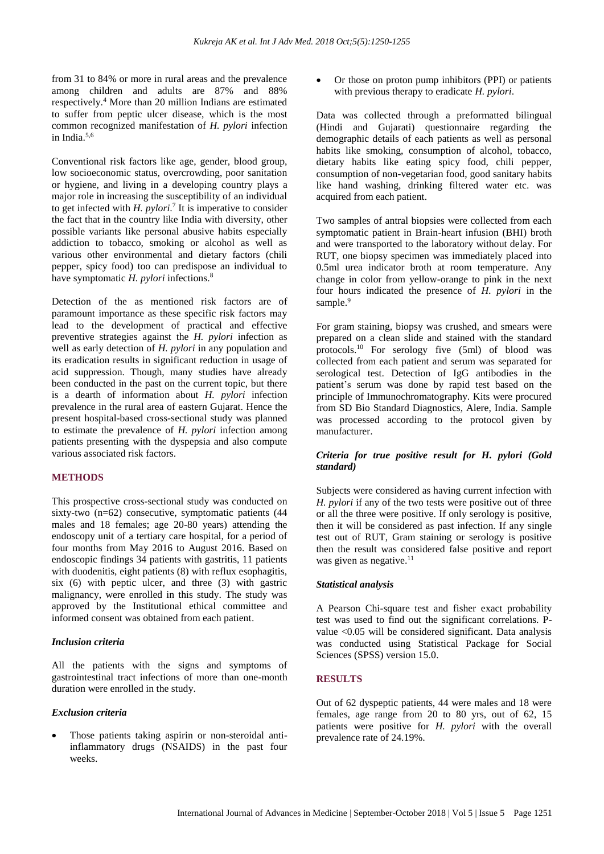from 31 to 84% or more in rural areas and the prevalence among children and adults are 87% and 88% respectively.<sup>4</sup> More than 20 million Indians are estimated to suffer from peptic ulcer disease, which is the most common recognized manifestation of *H. pylori* infection in India. 5,6

Conventional risk factors like age, gender, blood group, low socioeconomic status, overcrowding, poor sanitation or hygiene, and living in a developing country plays a major role in increasing the susceptibility of an individual to get infected with  $H.$   $pylori.$ <sup>7</sup> It is imperative to consider the fact that in the country like India with diversity, other possible variants like personal abusive habits especially addiction to tobacco, smoking or alcohol as well as various other environmental and dietary factors (chili pepper, spicy food) too can predispose an individual to have symptomatic *H. pylori* infections.<sup>8</sup>

Detection of the as mentioned risk factors are of paramount importance as these specific risk factors may lead to the development of practical and effective preventive strategies against the *H. pylori* infection as well as early detection of *H. pylori* in any population and its eradication results in significant reduction in usage of acid suppression. Though, many studies have already been conducted in the past on the current topic, but there is a dearth of information about *H. pylori* infection prevalence in the rural area of eastern Gujarat. Hence the present hospital-based cross-sectional study was planned to estimate the prevalence of *H. pylori* infection among patients presenting with the dyspepsia and also compute various associated risk factors.

#### **METHODS**

This prospective cross-sectional study was conducted on sixty-two (n=62) consecutive, symptomatic patients (44 males and 18 females; age 20-80 years) attending the endoscopy unit of a tertiary care hospital, for a period of four months from May 2016 to August 2016. Based on endoscopic findings 34 patients with gastritis, 11 patients with duodenitis, eight patients (8) with reflux esophagitis, six (6) with peptic ulcer, and three (3) with gastric malignancy, were enrolled in this study. The study was approved by the Institutional ethical committee and informed consent was obtained from each patient.

# *Inclusion criteria*

All the patients with the signs and symptoms of gastrointestinal tract infections of more than one-month duration were enrolled in the study.

#### *Exclusion criteria*

Those patients taking aspirin or non-steroidal antiinflammatory drugs (NSAIDS) in the past four weeks.

• Or those on proton pump inhibitors (PPI) or patients with previous therapy to eradicate *H. pylori*.

Data was collected through a preformatted bilingual (Hindi and Gujarati) questionnaire regarding the demographic details of each patients as well as personal habits like smoking, consumption of alcohol, tobacco, dietary habits like eating spicy food, chili pepper, consumption of non-vegetarian food, good sanitary habits like hand washing, drinking filtered water etc. was acquired from each patient.

Two samples of antral biopsies were collected from each symptomatic patient in Brain-heart infusion (BHI) broth and were transported to the laboratory without delay. For RUT, one biopsy specimen was immediately placed into 0.5ml urea indicator broth at room temperature. Any change in color from yellow-orange to pink in the next four hours indicated the presence of *H. pylori* in the sample.<sup>9</sup>

For gram staining, biopsy was crushed, and smears were prepared on a clean slide and stained with the standard protocols. <sup>10</sup> For serology five (5ml) of blood was collected from each patient and serum was separated for serological test. Detection of IgG antibodies in the patient's serum was done by rapid test based on the principle of Immunochromatography. Kits were procured from SD Bio Standard Diagnostics, Alere, India. Sample was processed according to the protocol given by manufacturer.

# *Criteria for true positive result for H. pylori (Gold standard)*

Subjects were considered as having current infection with *H. pylori* if any of the two tests were positive out of three or all the three were positive. If only serology is positive, then it will be considered as past infection. If any single test out of RUT, Gram staining or serology is positive then the result was considered false positive and report was given as negative.<sup>11</sup>

## *Statistical analysis*

A Pearson Chi-square test and fisher exact probability test was used to find out the significant correlations. Pvalue <0.05 will be considered significant. Data analysis was conducted using Statistical Package for Social Sciences (SPSS) version 15.0.

### **RESULTS**

Out of 62 dyspeptic patients, 44 were males and 18 were females, age range from 20 to 80 yrs, out of 62, 15 patients were positive for *H. pylori* with the overall prevalence rate of 24.19%.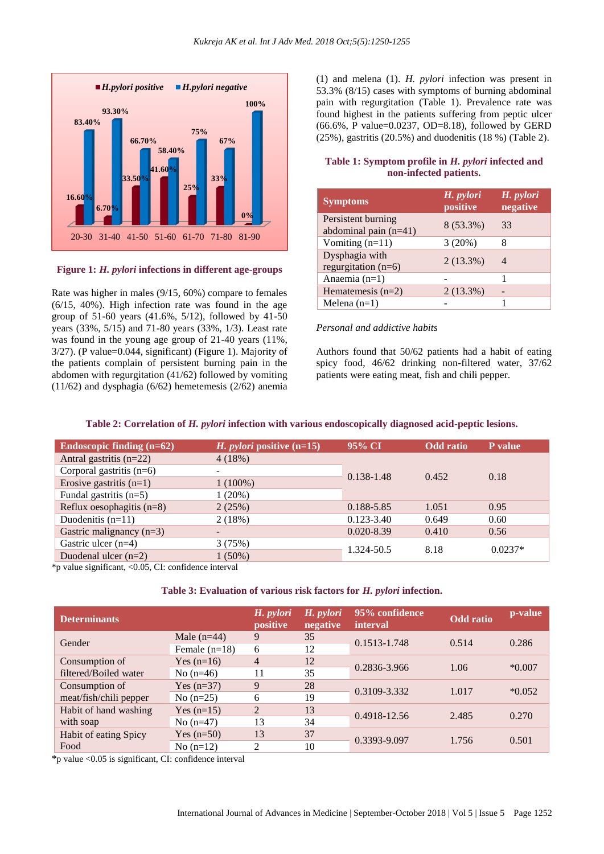

# **Figure 1:** *H. pylori* **infections in different age-groups**

Rate was higher in males (9/15, 60%) compare to females (6/15, 40%). High infection rate was found in the age group of 51-60 years (41.6%, 5/12), followed by 41-50 years (33%, 5/15) and 71-80 years (33%, 1/3). Least rate was found in the young age group of 21-40 years (11%, 3/27). (P value=0.044, significant) (Figure 1). Majority of the patients complain of persistent burning pain in the abdomen with regurgitation (41/62) followed by vomiting (11/62) and dysphagia (6/62) hemetemesis (2/62) anemia (1) and melena (1). *H. pylori* infection was present in 53.3% (8/15) cases with symptoms of burning abdominal pain with regurgitation (Table 1). Prevalence rate was found highest in the patients suffering from peptic ulcer (66.6%, P value=0.0237, OD=8.18), followed by GERD (25%), gastritis (20.5%) and duodenitis (18 %) (Table 2).

# **Table 1: Symptom profile in** *H. pylori* **infected and non-infected patients.**

| <b>Symptoms</b>                               | H. pylori<br>positive | H. pylori<br>negative |
|-----------------------------------------------|-----------------------|-----------------------|
| Persistent burning<br>abdominal pain $(n=41)$ | 8 (53.3%)             | 33                    |
| Vomiting $(n=11)$                             | 3(20%)                |                       |
| Dysphagia with<br>regurgitation $(n=6)$       | $2(13.3\%)$           | 4                     |
| Anaemia $(n=1)$                               |                       | 1                     |
| Hematemesis $(n=2)$                           | $2(13.3\%)$           |                       |
| Melena $(n=1)$                                |                       |                       |

# *Personal and addictive habits*

Authors found that 50/62 patients had a habit of eating spicy food, 46/62 drinking non-filtered water, 37/62 patients were eating meat, fish and chili pepper.

# **Table 2: Correlation of** *H. pylori* **infection with various endoscopically diagnosed acid-peptic lesions.**

| Endoscopic finding $(n=62)$ | <i>H. pylori</i> positive $(n=15)$ | $95\%$ CI      | <b>Odd</b> ratio | P value   |
|-----------------------------|------------------------------------|----------------|------------------|-----------|
| Antral gastritis $(n=22)$   | 4(18%)                             |                |                  |           |
| Corporal gastritis $(n=6)$  |                                    | 0.138-1.48     | 0.452            | 0.18      |
| Erosive gastritis $(n=1)$   | $1(100\%)$                         |                |                  |           |
| Fundal gastritis $(n=5)$    | 1(20%)                             |                |                  |           |
| Reflux oesophagitis $(n=8)$ | 2(25%)                             | 0.188-5.85     | 1.051            | 0.95      |
| Duodenitis $(n=11)$         | 2(18%)                             | $0.123 - 3.40$ | 0.649            | 0.60      |
| Gastric malignancy $(n=3)$  |                                    | $0.020 - 8.39$ | 0.410            | 0.56      |
| Gastric ulcer $(n=4)$       | 3(75%)                             |                |                  | $0.0237*$ |
| Duodenal ulcer $(n=2)$      | $1(50\%)$                          | 1.324-50.5     | 8.18             |           |

\*p value significant, <0.05, CI: confidence interval

#### **Table 3: Evaluation of various risk factors for** *H. pylori* **infection.**

| <b>Determinants</b>    |                 | H. pylori<br>positive | H. <i>pylori</i><br>negative | 95% confidence<br><i>interval</i> | <b>Odd</b> ratio | p-value  |
|------------------------|-----------------|-----------------------|------------------------------|-----------------------------------|------------------|----------|
| Gender                 | Male $(n=44)$   | 9                     | 35                           | 0.1513-1.748                      | 0.514            | 0.286    |
|                        | Female $(n=18)$ | 6                     | 12                           |                                   |                  |          |
| Consumption of         | Yes $(n=16)$    | $\overline{4}$        | 12                           | 0.2836-3.966                      | 1.06             | $*0.007$ |
| filtered/Boiled water  | No $(n=46)$     | 11                    | 35                           |                                   |                  |          |
| Consumption of         | Yes $(n=37)$    | 9                     | 28                           |                                   | 1.017            | $*0.052$ |
| meat/fish/chili pepper | No $(n=25)$     | 6                     | 19                           | 0.3109-3.332                      |                  |          |
| Habit of hand washing  | Yes $(n=15)$    | $\overline{2}$        | 13                           | 0.4918-12.56                      | 2.485            | 0.270    |
| with soap              | No $(n=47)$     | 13                    | 34                           |                                   |                  |          |
| Habit of eating Spicy  | Yes $(n=50)$    | 13                    | 37                           | 0.3393-9.097                      | 1.756            | 0.501    |
| Food                   | No $(n=12)$     | $\overline{c}$        | 10                           |                                   |                  |          |

\*p value <0.05 is significant, CI: confidence interval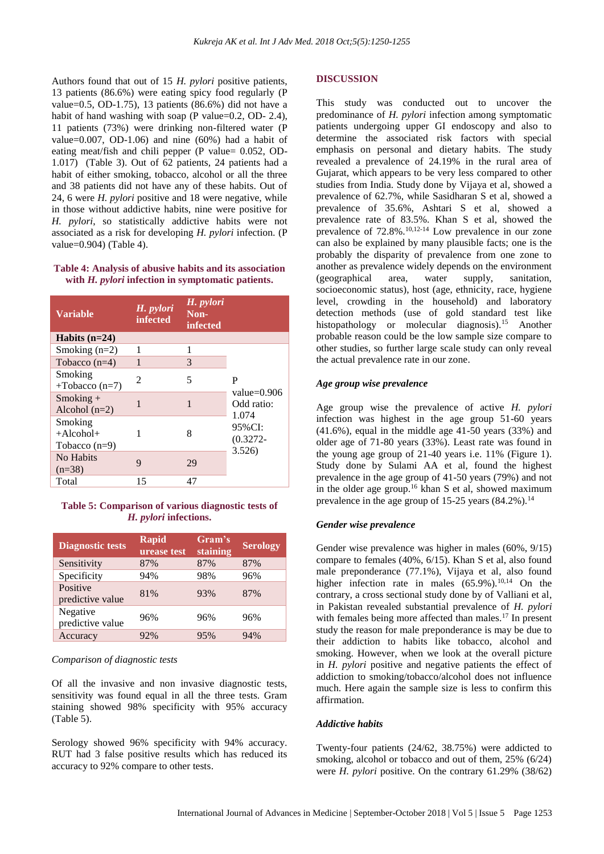Authors found that out of 15 *H. pylori* positive patients, 13 patients (86.6%) were eating spicy food regularly (P value=0.5, OD-1.75), 13 patients (86.6%) did not have a habit of hand washing with soap (P value=0.2, OD- 2.4), 11 patients (73%) were drinking non-filtered water (P value=0.007, OD-1.06) and nine  $(60\%)$  had a habit of eating meat/fish and chili pepper (P value= 0.052, OD-1.017) (Table 3). Out of 62 patients, 24 patients had a habit of either smoking, tobacco, alcohol or all the three and 38 patients did not have any of these habits. Out of 24, 6 were *H. pylori* positive and 18 were negative, while in those without addictive habits, nine were positive for *H. pylori*, so statistically addictive habits were not associated as a risk for developing *H. pylori* infection. (P value=0.904) (Table 4).

# **Table 4: Analysis of abusive habits and its association with** *H. pylori* **infection in symptomatic patients.**

| <b>Variable</b>                               | H. pylori<br><b>infected</b> | H. pylori<br>Non-<br>infected |                                            |
|-----------------------------------------------|------------------------------|-------------------------------|--------------------------------------------|
| Habits $(n=24)$                               |                              |                               |                                            |
| Smoking $(n=2)$                               | 1                            | 1                             |                                            |
| Tobacco $(n=4)$                               | $\mathbf{1}$                 | 3                             |                                            |
| Smoking<br>$+$ Tobacco (n=7)                  | $\mathfrak{D}$               | 5                             | P<br>value= $0.906$<br>Odd ratio:<br>1.074 |
| $Smoking +$<br>Alcohol $(n=2)$                | 1                            | 1                             |                                            |
| Smoking<br>$+A$ lcohol $+$<br>Tobacco $(n=9)$ | 1                            | 8                             | 95%CI:<br>$(0.3272 -$<br>3.526             |
| No Habits<br>$(n=38)$                         | 9                            | 29                            |                                            |
| Total                                         | 15                           | 47                            |                                            |

**Table 5: Comparison of various diagnostic tests of**  *H. pylori* **infections.**

| <b>Diagnostic tests</b>      | <b>Rapid</b><br>urease test | Gram's<br>staining | <b>Serology</b> |
|------------------------------|-----------------------------|--------------------|-----------------|
| Sensitivity                  | 87%                         | 87%                | 87%             |
| Specificity                  | 94%                         | 98%                | 96%             |
| Positive<br>predictive value | 81%                         | 93%                | 87%             |
| Negative<br>predictive value | 96%                         | 96%                | 96%             |
| Accuracy                     | 92%                         | 95%                | 94%             |

#### *Comparison of diagnostic tests*

Of all the invasive and non invasive diagnostic tests, sensitivity was found equal in all the three tests. Gram staining showed 98% specificity with 95% accuracy (Table 5).

Serology showed 96% specificity with 94% accuracy. RUT had 3 false positive results which has reduced its accuracy to 92% compare to other tests.

#### **DISCUSSION**

This study was conducted out to uncover the predominance of *H. pylori* infection among symptomatic patients undergoing upper GI endoscopy and also to determine the associated risk factors with special emphasis on personal and dietary habits. The study revealed a prevalence of 24.19% in the rural area of Gujarat, which appears to be very less compared to other studies from India. Study done by Vijaya et al, showed a prevalence of 62.7%, while Sasidharan S et al, showed a prevalence of 35.6%, Ashtari S et al, showed a prevalence rate of 83.5%. Khan S et al, showed the prevalence of 72.8%.10,12-14 Low prevalence in our zone can also be explained by many plausible facts; one is the probably the disparity of prevalence from one zone to another as prevalence widely depends on the environment (geographical area, water supply, sanitation, socioeconomic status), host (age, ethnicity, race, hygiene level, crowding in the household) and laboratory detection methods (use of gold standard test like histopathology or molecular diagnosis).<sup>15</sup> Another probable reason could be the low sample size compare to other studies, so further large scale study can only reveal the actual prevalence rate in our zone.

#### *Age group wise prevalence*

Age group wise the prevalence of active *H. pylori*  infection was highest in the age group 51-60 years (41.6%), equal in the middle age 41-50 years (33%) and older age of 71-80 years (33%). Least rate was found in the young age group of 21-40 years i.e. 11% (Figure 1). Study done by Sulami AA et al, found the highest prevalence in the age group of 41-50 years (79%) and not in the older age group.<sup>16</sup> khan S et al, showed maximum prevalence in the age group of 15-25 years  $(84.2\%)$ .<sup>14</sup>

#### *Gender wise prevalence*

Gender wise prevalence was higher in males (60%, 9/15) compare to females (40%, 6/15). Khan S et al, also found male preponderance (77.1%), Vijaya et al, also found higher infection rate in males  $(65.9\%)$ <sup>10,14</sup> On the contrary, a cross sectional study done by of Valliani et al, in Pakistan revealed substantial prevalence of *H. pylori*  with females being more affected than males.<sup>17</sup> In present study the reason for male preponderance is may be due to their addiction to habits like tobacco, alcohol and smoking. However, when we look at the overall picture in *H. pylori* positive and negative patients the effect of addiction to smoking/tobacco/alcohol does not influence much. Here again the sample size is less to confirm this affirmation.

#### *Addictive habits*

Twenty-four patients (24/62, 38.75%) were addicted to smoking, alcohol or tobacco and out of them, 25% (6/24) were *H. pylori* positive. On the contrary 61.29% (38/62)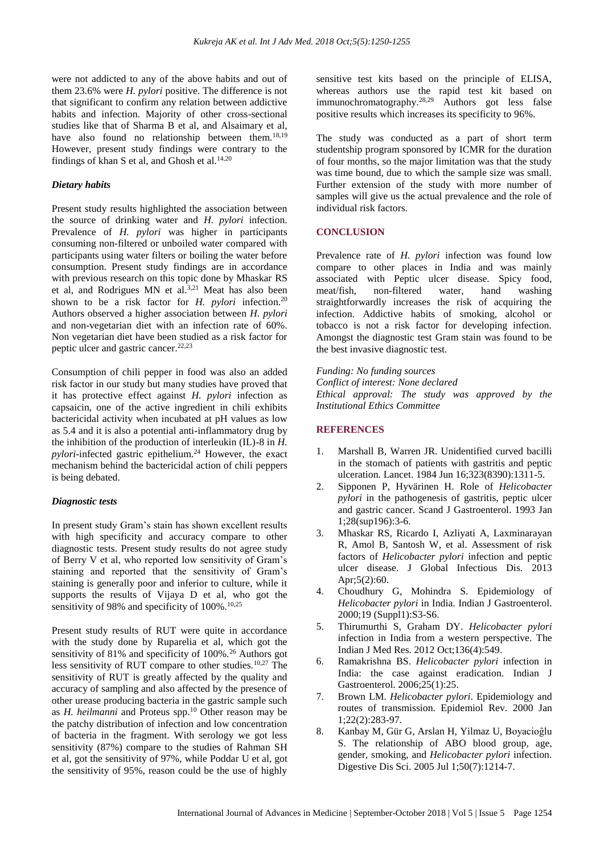were not addicted to any of the above habits and out of them 23.6% were *H. pylori* positive. The difference is not that significant to confirm any relation between addictive habits and infection. Majority of other cross-sectional studies like that of Sharma B et al, and Alsaimary et al, have also found no relationship between them.<sup>18,19</sup> However, present study findings were contrary to the findings of khan S et al, and Ghosh et al.<sup>14,20</sup>

## *Dietary habits*

Present study results highlighted the association between the source of drinking water and *H. pylori* infection. Prevalence of *H. pylori* was higher in participants consuming non-filtered or unboiled water compared with participants using water filters or boiling the water before consumption. Present study findings are in accordance with previous research on this topic done by Mhaskar RS et al, and Rodrigues MN et al.3,21 Meat has also been shown to be a risk factor for *H. pylori* infection.<sup>20</sup> Authors observed a higher association between *H. pylori*  and non-vegetarian diet with an infection rate of 60%. Non vegetarian diet have been studied as a risk factor for peptic ulcer and gastric cancer. 22,23

Consumption of chili pepper in food was also an added risk factor in our study but many studies have proved that it has protective effect against *H. pylori* infection as capsaicin, one of the active ingredient in chili exhibits bactericidal activity when incubated at pH values as low as 5.4 and it is also a potential anti-inflammatory drug by the inhibition of the production of interleukin (IL)-8 in *H. pylori*-infected gastric epithelium.<sup>24</sup> However, the exact mechanism behind the bactericidal action of chili peppers is being debated.

#### *Diagnostic tests*

In present study Gram's stain has shown excellent results with high specificity and accuracy compare to other diagnostic tests. Present study results do not agree study of Berry V et al, who reported low sensitivity of Gram's staining and reported that the sensitivity of Gram's staining is generally poor and inferior to culture, while it supports the results of Vijaya D et al, who got the sensitivity of 98% and specificity of  $100\%$ .<sup>10,25</sup>

Present study results of RUT were quite in accordance with the study done by Ruparelia et al, which got the sensitivity of 81% and specificity of 100%.<sup>26</sup> Authors got less sensitivity of RUT compare to other studies.<sup>10,27</sup> The sensitivity of RUT is greatly affected by the quality and accuracy of sampling and also affected by the presence of other urease producing bacteria in the gastric sample such as *H. heilmanni* and Proteus spp. <sup>10</sup> Other reason may be the patchy distribution of infection and low concentration of bacteria in the fragment. With serology we got less sensitivity (87%) compare to the studies of Rahman SH et al, got the sensitivity of 97%, while Poddar U et al, got the sensitivity of 95%, reason could be the use of highly

sensitive test kits based on the principle of ELISA, whereas authors use the rapid test kit based on immunochromatography.28,29 Authors got less false positive results which increases its specificity to 96%.

The study was conducted as a part of short term studentship program sponsored by ICMR for the duration of four months, so the major limitation was that the study was time bound, due to which the sample size was small. Further extension of the study with more number of samples will give us the actual prevalence and the role of individual risk factors.

# **CONCLUSION**

Prevalence rate of *H. pylori* infection was found low compare to other places in India and was mainly associated with Peptic ulcer disease. Spicy food, meat/fish, non-filtered water, hand washing straightforwardly increases the risk of acquiring the infection. Addictive habits of smoking, alcohol or tobacco is not a risk factor for developing infection. Amongst the diagnostic test Gram stain was found to be the best invasive diagnostic test.

*Funding: No funding sources Conflict of interest: None declared Ethical approval: The study was approved by the Institutional Ethics Committee*

#### **REFERENCES**

- 1. Marshall B, Warren JR. Unidentified curved bacilli in the stomach of patients with gastritis and peptic ulceration. Lancet. 1984 Jun 16;323(8390):1311-5.
- 2. Sipponen P, Hyvärinen H. Role of *Helicobacter pylori* in the pathogenesis of gastritis, peptic ulcer and gastric cancer. Scand J Gastroenterol. 1993 Jan 1;28(sup196):3-6.
- 3. Mhaskar RS, Ricardo I, Azliyati A, Laxminarayan R, Amol B, Santosh W, et al. Assessment of risk factors of *Helicobacter pylori* infection and peptic ulcer disease. J Global Infectious Dis. 2013 Apr;5(2):60.
- 4. Choudhury G, Mohindra S. Epidemiology of *Helicobacter pylori* in India. Indian J Gastroenterol. 2000;19 (Suppl1):S3-S6.
- 5. Thirumurthi S, Graham DY. *Helicobacter pylori* infection in India from a western perspective. The Indian J Med Res. 2012 Oct;136(4):549.
- 6. Ramakrishna BS. *Helicobacter pylori* infection in India: the case against eradication. Indian J Gastroenterol. 2006;25(1):25.
- 7. Brown LM. *Helicobacter pylori*. Epidemiology and routes of transmission. Epidemiol Rev. 2000 Jan 1;22(2):283-97.
- 8. Kanbay M, Gür G, Arslan H, Yilmaz U, Boyacioĝlu S. The relationship of ABO blood group, age, gender, smoking, and *Helicobacter pylori* infection. Digestive Dis Sci. 2005 Jul 1;50(7):1214-7.